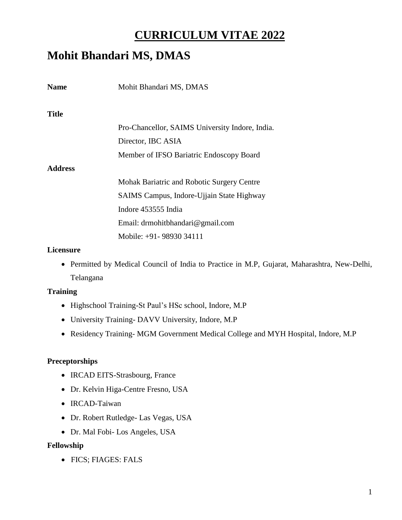# **CURRICULUM VITAE 2022**

# **Mohit Bhandari MS, DMAS**

| <b>Name</b>    | Mohit Bhandari MS, DMAS                         |
|----------------|-------------------------------------------------|
| <b>Title</b>   |                                                 |
|                | Pro-Chancellor, SAIMS University Indore, India. |
|                | Director, IBC ASIA                              |
|                | Member of IFSO Bariatric Endoscopy Board        |
| <b>Address</b> |                                                 |
|                | Mohak Bariatric and Robotic Surgery Centre      |
|                | SAIMS Campus, Indore-Ujjain State Highway       |
|                | Indore 453555 India                             |
|                | Email: drmohitbhandari@gmail.com                |
|                | Mobile: +91- 98930 34111                        |

#### **Licensure**

 Permitted by Medical Council of India to Practice in M.P, Gujarat, Maharashtra, New-Delhi, Telangana

#### **Training**

- Highschool Training-St Paul's HSc school, Indore, M.P
- University Training- DAVV University, Indore, M.P
- Residency Training- MGM Government Medical College and MYH Hospital, Indore, M.P

### **Preceptorships**

- IRCAD EITS-Strasbourg, France
- Dr. Kelvin Higa-Centre Fresno, USA
- IRCAD-Taiwan
- Dr. Robert Rutledge- Las Vegas, USA
- Dr. Mal Fobi- Los Angeles, USA

#### **Fellowship**

FICS; FIAGES: FALS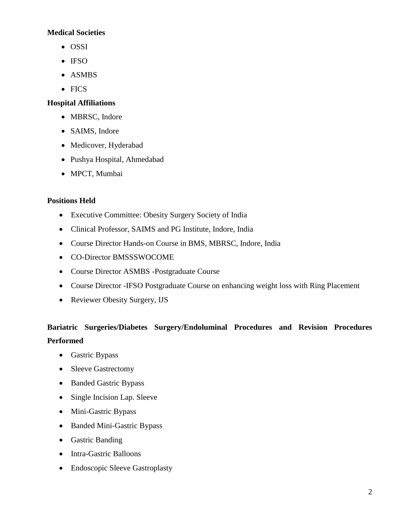# **Medical Societies**

- OSSI
- IFSO
- ASMBS
- FICS

# **Hospital Affiliations**

- MBRSC, Indore
- SAIMS, Indore
- Medicover, Hyderabad
- Pushya Hospital, Ahmedabad
- MPCT, Mumbai

# **Positions Held**

- Executive Committee: Obesity Surgery Society of India
- Clinical Professor, SAIMS and PG Institute, Indore, India
- Course Director Hands-on Course in BMS, MBRSC, Indore, India
- CO-Director BMSSSWOCOME
- Course Director ASMBS -Postgraduate Course
- Course Director -IFSO Postgraduate Course on enhancing weight loss with Ring Placement
- Reviewer Obesity Surgery, IJS

# **Bariatric Surgeries/Diabetes Surgery/Endoluminal Procedures and Revision Procedures Performed**

- Gastric Bypass
- Sleeve Gastrectomy
- Banded Gastric Bypass
- Single Incision Lap. Sleeve
- Mini-Gastric Bypass
- Banded Mini-Gastric Bypass
- Gastric Banding
- Intra-Gastric Balloons
- Endoscopic Sleeve Gastroplasty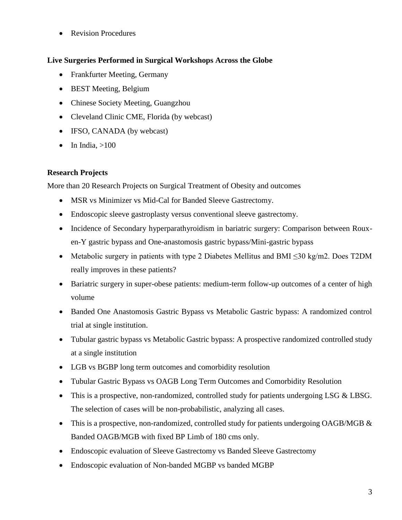• Revision Procedures

# **Live Surgeries Performed in Surgical Workshops Across the Globe**

- Frankfurter Meeting, Germany
- BEST Meeting, Belgium
- Chinese Society Meeting, Guangzhou
- Cleveland Clinic CME, Florida (by webcast)
- IFSO, CANADA (by webcast)
- $\bullet$  In India,  $>100$

# **Research Projects**

More than 20 Research Projects on Surgical Treatment of Obesity and outcomes

- MSR vs Minimizer vs Mid-Cal for Banded Sleeve Gastrectomy.
- Endoscopic sleeve gastroplasty versus conventional sleeve gastrectomy.
- Incidence of Secondary hyperparathyroidism in bariatric surgery: Comparison between Rouxen-Y gastric bypass and One-anastomosis gastric bypass/Mini-gastric bypass
- Metabolic surgery in patients with type 2 Diabetes Mellitus and BMI ≤30 kg/m2. Does T2DM really improves in these patients?
- Bariatric surgery in super-obese patients: medium-term follow-up outcomes of a center of high volume
- Banded One Anastomosis Gastric Bypass vs Metabolic Gastric bypass: A randomized control trial at single institution.
- Tubular gastric bypass vs Metabolic Gastric bypass: A prospective randomized controlled study at a single institution
- LGB vs BGBP long term outcomes and comorbidity resolution
- Tubular Gastric Bypass vs OAGB Long Term Outcomes and Comorbidity Resolution
- This is a prospective, non-randomized, controlled study for patients undergoing LSG & LBSG. The selection of cases will be non-probabilistic, analyzing all cases.
- This is a prospective, non-randomized, controlled study for patients undergoing OAGB/MGB  $\&$ Banded OAGB/MGB with fixed BP Limb of 180 cms only.
- Endoscopic evaluation of Sleeve Gastrectomy vs Banded Sleeve Gastrectomy
- Endoscopic evaluation of Non-banded MGBP vs banded MGBP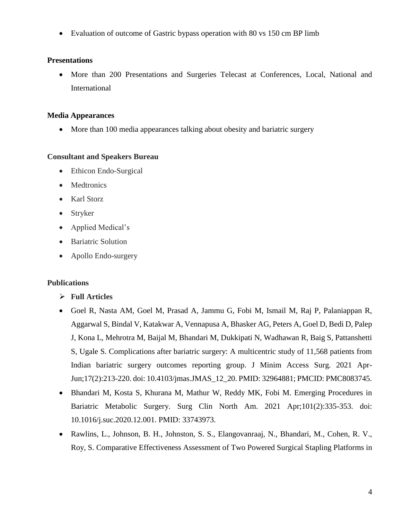Evaluation of outcome of Gastric bypass operation with 80 vs 150 cm BP limb

#### **Presentations**

 More than 200 Presentations and Surgeries Telecast at Conferences, Local, National and International

#### **Media Appearances**

• More than 100 media appearances talking about obesity and bariatric surgery

#### **Consultant and Speakers Bureau**

- Ethicon Endo-Surgical
- Medtronics
- Karl Storz
- Stryker
- Applied Medical's
- Bariatric Solution
- Apollo Endo-surgery

### **Publications**

- **Full Articles**
- Goel R, Nasta AM, Goel M, Prasad A, Jammu G, Fobi M, Ismail M, Raj P, Palaniappan R, Aggarwal S, Bindal V, Katakwar A, Vennapusa A, Bhasker AG, Peters A, Goel D, Bedi D, Palep J, Kona L, Mehrotra M, Baijal M, Bhandari M, Dukkipati N, Wadhawan R, Baig S, Pattanshetti S, Ugale S. Complications after bariatric surgery: A multicentric study of 11,568 patients from Indian bariatric surgery outcomes reporting group. J Minim Access Surg. 2021 Apr-Jun;17(2):213-220. doi: 10.4103/jmas.JMAS\_12\_20. PMID: 32964881; PMCID: PMC8083745.
- Bhandari M, Kosta S, Khurana M, Mathur W, Reddy MK, Fobi M. Emerging Procedures in Bariatric Metabolic Surgery. Surg Clin North Am. 2021 Apr;101(2):335-353. doi: 10.1016/j.suc.2020.12.001. PMID: 33743973.
- Rawlins, L., Johnson, B. H., Johnston, S. S., Elangovanraaj, N., Bhandari, M., Cohen, R. V., Roy, S. Comparative Effectiveness Assessment of Two Powered Surgical Stapling Platforms in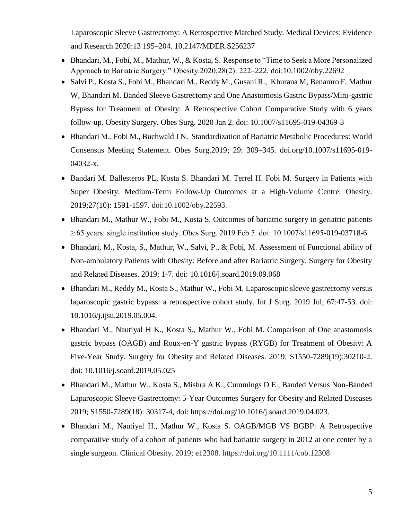Laparoscopic Sleeve Gastrectomy: A Retrospective Matched Study. Medical Devices: Evidence and Research 2020:13 195–204. [10.2147/MDER.S256237](https://www.researchgate.net/deref/http%3A%2F%2Fdx.doi.org%2F10.2147%2FMDER.S256237)

- Bhandari, M., Fobi, M., Mathur, W., & Kosta, S. Response to "Time to Seek a More Personalized Approach to Bariatric Surgery." Obesity.2020;28(2): 222–222. doi:10.1002/oby.22692
- Salvi P., Kosta S., Fobi M., Bhandari M., Reddy M., Gusani R., [Khurana M,](https://www.ncbi.nlm.nih.gov/pubmed/?term=Khurana%20M%5BAuthor%5D&cauthor=true&cauthor_uid=31898044) [Benamro F,](https://www.ncbi.nlm.nih.gov/pubmed/?term=Benamro%20F%5BAuthor%5D&cauthor=true&cauthor_uid=31898044) [Mathur](https://www.ncbi.nlm.nih.gov/pubmed/?term=Mathur%20W%5BAuthor%5D&cauthor=true&cauthor_uid=31898044)  [W,](https://www.ncbi.nlm.nih.gov/pubmed/?term=Mathur%20W%5BAuthor%5D&cauthor=true&cauthor_uid=31898044) [Bhandari M.](https://www.ncbi.nlm.nih.gov/pubmed/?term=Bhandari%20M%5BAuthor%5D&cauthor=true&cauthor_uid=31898044) Banded Sleeve Gastrectomy and One Anastomosis Gastric Bypass/Mini-gastric Bypass for Treatment of Obesity: A Retrospective Cohort Comparative Study with 6 years follow-up. Obesity Surgery. [Obes Surg.](https://www.ncbi.nlm.nih.gov/pubmed/31898044) 2020 Jan 2. doi: 10.1007/s11695-019-04369-3
- Bhandari M., Fobi M., Buchwald J N. Standardization of Bariatric Metabolic Procedures: World Consensus Meeting Statement. Obes Surg.2019; 29: 309–345. doi.org/10.1007/s11695-019- 04032-x.
- Bandari M. Ballesteros PL, Kosta S. Bhandari M. Terrel H. Fobi M. Surgery in Patients with Super Obesity: Medium-Term Follow-Up Outcomes at a High-Volume Centre. Obesity. 2019;27(10): 1591-1597. doi:10.1002/oby.22593.
- Bhandari M., Mathur W., Fobi M., Kosta S. Outcomes of bariatric surgery in geriatric patients ≥ 65 years: single institution study. Obes Surg. 2019 Feb 5. doi: 10.1007/s11695-019-03718-6.
- Bhandari, M., Kosta, S., Mathur, W., Salvi, P., & Fobi, M. Assessment of Functional ability of Non-ambulatory Patients with Obesity: Before and after Bariatric Surgery. Surgery for Obesity and Related Diseases. 2019; 1-7. doi: 10.1016/j.soard.2019.09.068
- Bhandari M., Reddy M., Kosta S., Mathur W., Fobi M. Laparoscopic sleeve gastrectomy versus laparoscopic gastric bypass: a retrospective cohort study. Int J Surg. 2019 Jul; 67:47-53. doi: 10.1016/j.ijsu.2019.05.004.
- Bhandari M., Nautiyal H K., Kosta S., Mathur W., Fobi M. Comparison of One anastomosis gastric bypass (OAGB) and Roux-en-Y gastric bypass (RYGB) for Treatment of Obesity: A Five-Year Study. Surgery for Obesity and Related Diseases. 2019; S1550-7289(19):30210-2. doi: 10.1016/j.soard.2019.05.025
- Bhandari M., Mathur W., Kosta S., Mishra A K., Cummings D E., Banded Versus Non-Banded Laparoscopic Sleeve Gastrectomy: 5-Year Outcomes Surgery for Obesity and Related Diseases 2019; S1550-7289(18): 30317-4, doi: https://doi.org/10.1016/j.soard.2019.04.023.
- Bhandari M., Nautiyal H., Mathur W., Kosta S. OAGB/MGB VS BGBP: A Retrospective comparative study of a cohort of patients who had bariatric surgery in 2012 at one center by a single surgeon. Clinical Obesity. 2019; e12308. https://doi.org/10.1111/cob.12308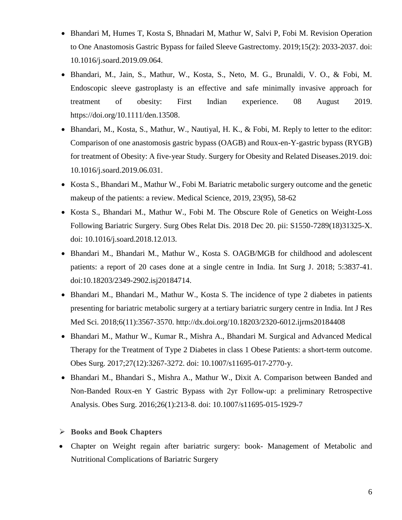- Bhandari M, Humes T, Kosta S, Bhnadari M, Mathur W, Salvi P, Fobi M. Revision Operation to One Anastomosis Gastric Bypass for failed Sleeve Gastrectomy. 2019[;15\(2\)](https://www.sciencedirect.com/science/journal/15507289/15/12): 2033-2037. doi: 10.1016/j.soard.2019.09.064.
- Bhandari, M., Jain, S., Mathur, W., Kosta, S., Neto, M. G., Brunaldi, V. O., & Fobi, M. Endoscopic sleeve gastroplasty is an effective and safe minimally invasive approach for treatment of obesity: First Indian experience. 08 August 2019. [https://doi.org/10.1111/den.13508.](https://doi.org/10.1111/den.13508)
- Bhandari, M., Kosta, S., Mathur, W., Nautiyal, H. K., & Fobi, M. Reply to letter to the editor: Comparison of one anastomosis gastric bypass (OAGB) and Roux-en-Y-gastric bypass (RYGB) for treatment of Obesity: A five-year Study. Surgery for Obesity and Related Diseases.2019. doi: 10.1016/j.soard.2019.06.031.
- Kosta S., Bhandari M., Mathur W., Fobi M. Bariatric metabolic surgery outcome and the genetic makeup of the patients: a review. Medical Science, 2019, 23(95), 58-62
- Kosta S., Bhandari M., Mathur W., Fobi M. The Obscure Role of Genetics on Weight-Loss Following Bariatric Surgery. Surg Obes Relat Dis. 2018 Dec 20. pii: S1550-7289(18)31325-X. doi: 10.1016/j.soard.2018.12.013.
- Bhandari M., Bhandari M., Mathur W., Kosta S. OAGB/MGB for childhood and adolescent patients: a report of 20 cases done at a single centre in India. Int Surg J. 2018; 5:3837-41. [doi:10.18203/2349-2902.isj20184714.](http://dx.doi.org/10.18203/2349-2902.isj20184714)
- Bhandari M., Bhandari M., Mathur W., Kosta S. The incidence of type 2 diabetes in patients presenting for bariatric metabolic surgery at a tertiary bariatric surgery centre in India. Int J Res Med Sci. 2018;6(11):3567-3570. http://dx.doi.org/10.18203/2320-6012.ijrms20184408
- Bhandari M., Mathur W., Kumar R., Mishra A., Bhandari M. Surgical and Advanced Medical Therapy for the Treatment of Type 2 Diabetes in class 1 Obese Patients: a short-term outcome. Obes Surg. 2017;27(12):3267-3272. doi: 10.1007/s11695-017-2770-y.
- Bhandari M., Bhandari S., Mishra A., Mathur W., Dixit A. Comparison between Banded and Non-Banded Roux-en Y Gastric Bypass with 2yr Follow-up: a preliminary Retrospective Analysis. Obes Surg. 2016;26(1):213-8. doi: 10.1007/s11695-015-1929-7
- **Books and Book Chapters**
- Chapter on Weight regain after bariatric surgery: book- Management of Metabolic and Nutritional Complications of Bariatric Surgery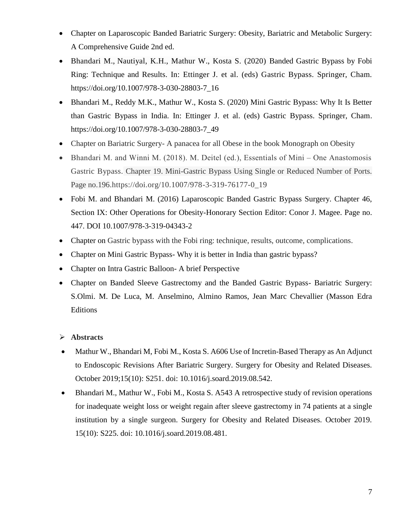- Chapter on Laparoscopic Banded Bariatric Surgery: Obesity, Bariatric and Metabolic Surgery: A Comprehensive Guide 2nd ed.
- Bhandari M., Nautiyal, K.H., Mathur W., Kosta S. (2020) Banded Gastric Bypass by Fobi Ring: Technique and Results. In: Ettinger J. et al. (eds) Gastric Bypass. Springer, Cham. https://doi.org/10.1007/978-3-030-28803-7\_16
- Bhandari M., Reddy M.K., Mathur W., Kosta S. (2020) Mini Gastric Bypass: Why It Is Better than Gastric Bypass in India. In: Ettinger J. et al. (eds) Gastric Bypass. Springer, Cham. https://doi.org/10.1007/978-3-030-28803-7\_49
- Chapter on Bariatric Surgery- A panacea for all Obese in the book Monograph on Obesity
- $\bullet$  Bhandari M. and Winni M. (2018). M. Deitel (ed.), Essentials of Mini One Anastomosis Gastric Bypass. Chapter 19. Mini-Gastric Bypass Using Single or Reduced Number of Ports. Page no.196.https://doi.org/10.1007/978-3-319-76177-0\_19
- Fobi M. and Bhandari M. (2016) Laparoscopic Banded Gastric Bypass Surgery. Chapter 46, Section IX: Other Operations for Obesity-Honorary Section Editor: Conor J. Magee. Page no. 447. DOI 10.1007/978-3-319-04343-2
- Chapter on Gastric bypass with the Fobi ring: technique, results, outcome, complications.
- Chapter on Mini Gastric Bypass-Why it is better in India than gastric bypass?
- Chapter on Intra Gastric Balloon- A brief Perspective
- Chapter on Banded Sleeve Gastrectomy and the Banded Gastric Bypass- Bariatric Surgery: S.Olmi. M. De Luca, M. Anselmino, Almino Ramos, Jean Marc Chevallier (Masson Edra Editions

# **Abstracts**

- Mathur W., Bhandari M, Fobi M., Kosta S. A606 Use of Incretin-Based Therapy as An Adjunct to Endoscopic Revisions After Bariatric Surgery. Surgery for Obesity and Related Diseases. October 2019;15(10): S251. doi: 10.1016/j.soard.2019.08.542.
- Bhandari M., Mathur W., Fobi M., Kosta S. A543 A retrospective study of revision operations for inadequate weight loss or weight regain after sleeve gastrectomy in 74 patients at a single institution by a single surgeon. Surgery for Obesity and Related Diseases. October 2019. 15(10): S225. doi: 10.1016/j.soard.2019.08.481.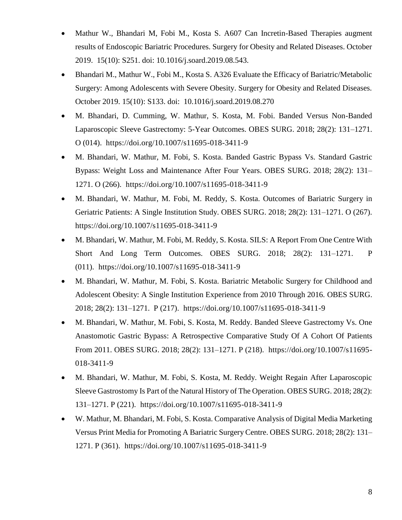- Mathur W., Bhandari M, Fobi M., Kosta S. A607 Can Incretin-Based Therapies augment results of Endoscopic Bariatric Procedures. Surgery for Obesity and Related Diseases. October 2019. 15(10): S251. doi: 10.1016/j.soard.2019.08.543.
- Bhandari M., Mathur W., Fobi M., Kosta S. A326 Evaluate the Efficacy of Bariatric/Metabolic Surgery: Among Adolescents with Severe Obesity. Surgery for Obesity and Related Diseases. October 2019. 15(10): S133. doi: 10.1016/j.soard.2019.08.270
- M. Bhandari, D. Cumming, W. Mathur, S. Kosta, M. Fobi. Banded Versus Non-Banded Laparoscopic Sleeve Gastrectomy: 5-Year Outcomes. OBES SURG. 2018; 28(2): 131–1271. O (014). https://doi.org/10.1007/s11695-018-3411-9
- M. Bhandari, W. Mathur, M. Fobi, S. Kosta. Banded Gastric Bypass Vs. Standard Gastric Bypass: Weight Loss and Maintenance After Four Years. OBES SURG. 2018; 28(2): 131– 1271. O (266). https://doi.org/10.1007/s11695-018-3411-9
- M. Bhandari, W. Mathur, M. Fobi, M. Reddy, S. Kosta. Outcomes of Bariatric Surgery in Geriatric Patients: A Single Institution Study. OBES SURG. 2018; 28(2): 131–1271. O (267). https://doi.org/10.1007/s11695-018-3411-9
- M. Bhandari, W. Mathur, M. Fobi, M. Reddy, S. Kosta. SILS: A Report From One Centre With Short And Long Term Outcomes. OBES SURG. 2018; 28(2): 131–1271. P (011). https://doi.org/10.1007/s11695-018-3411-9
- M. Bhandari, W. Mathur, M. Fobi, S. Kosta. Bariatric Metabolic Surgery for Childhood and Adolescent Obesity: A Single Institution Experience from 2010 Through 2016. OBES SURG. 2018; 28(2): 131–1271. P (217). https://doi.org/10.1007/s11695-018-3411-9
- M. Bhandari, W. Mathur, M. Fobi, S. Kosta, M. Reddy. Banded Sleeve Gastrectomy Vs. One Anastomotic Gastric Bypass: A Retrospective Comparative Study Of A Cohort Of Patients From 2011. OBES SURG. 2018; 28(2): 131–1271. P (218). https://doi.org/10.1007/s11695- 018-3411-9
- M. Bhandari, W. Mathur, M. Fobi, S. Kosta, M. Reddy. Weight Regain After Laparoscopic Sleeve Gastrostomy Is Part of the Natural History of The Operation. OBES SURG. 2018; 28(2): 131–1271. P (221). https://doi.org/10.1007/s11695-018-3411-9
- W. Mathur, M. Bhandari, M. Fobi, S. Kosta. Comparative Analysis of Digital Media Marketing Versus Print Media for Promoting A Bariatric Surgery Centre. OBES SURG. 2018; 28(2): 131– 1271. P (361). <https://doi.org/10.1007/s11695-018-3411-9>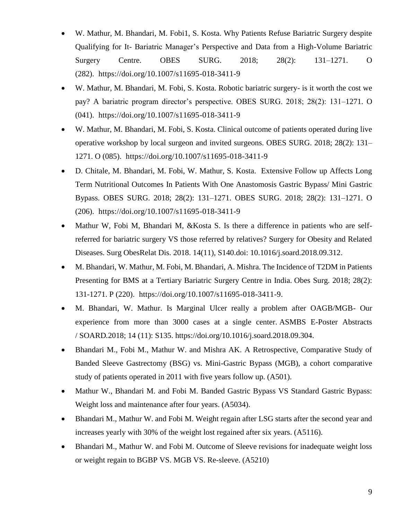- W. Mathur, M. Bhandari, M. Fobi1, S. Kosta. Why Patients Refuse Bariatric Surgery despite Qualifying for It- Bariatric Manager's Perspective and Data from a High-Volume Bariatric Surgery Centre. OBES SURG. 2018; 28(2): 131–1271. O (282). https://doi.org/10.1007/s11695-018-3411-9
- W. Mathur, M. Bhandari, M. Fobi, S. Kosta. Robotic bariatric surgery- is it worth the cost we pay? A bariatric program director's perspective. OBES SURG. 2018; 28(2): 131–1271. O (041). https://doi.org/10.1007/s11695-018-3411-9
- W. Mathur, M. Bhandari, M. Fobi, S. Kosta. Clinical outcome of patients operated during live operative workshop by local surgeon and invited surgeons. OBES SURG. 2018; 28(2): 131– 1271. O (085). https://doi.org/10.1007/s11695-018-3411-9
- D. Chitale, M. Bhandari, M. Fobi, W. Mathur, S. Kosta. Extensive Follow up Affects Long Term Nutritional Outcomes In Patients With One Anastomosis Gastric Bypass/ Mini Gastric Bypass. OBES SURG. 2018; 28(2): 131–1271. OBES SURG. 2018; 28(2): 131–1271. O (206). https://doi.org/10.1007/s11695-018-3411-9
- Mathur W, Fobi M, Bhandari M, &Kosta S. Is there a difference in patients who are selfreferred for bariatric surgery VS those referred by relatives? Surgery for Obesity and Related Diseases. Surg ObesRelat Dis. 2018. 14(11), S140.doi: 10.1016/j.soard.2018.09.312.
- M. Bhandari, W. Mathur, M. Fobi, M. Bhandari, A. Mishra. The Incidence of T2DM in Patients Presenting for BMS at a Tertiary Bariatric Surgery Centre in India. Obes Surg. 2018; 28(2): 131-1271. P (220). [https://doi.org/10.1007/s11695-018-3411-9.](https://doi.org/10.1007/s11695-018-3411-9)
- M. Bhandari, W. Mathur. Is Marginal Ulcer really a problem after OAGB/MGB- Our experience from more than 3000 cases at a single center. ASMBS E-Poster Abstracts / SOARD*.*2018; 14 (11): S135. [https://doi.org/10.1016/j.soard.2018.09.304.](https://doi.org/10.1016/j.soard.2018.09.304)
- Bhandari M., Fobi M., Mathur W. and Mishra AK. A Retrospective, Comparative Study of Banded Sleeve Gastrectomy (BSG) vs. Mini-Gastric Bypass (MGB), a cohort comparative study of patients operated in 2011 with five years follow up. (A501).
- Mathur W., Bhandari M. and Fobi M. Banded Gastric Bypass VS Standard Gastric Bypass: Weight loss and maintenance after four years. (A5034).
- Bhandari M., Mathur W. and Fobi M. Weight regain after LSG starts after the second year and increases yearly with 30% of the weight lost regained after six years. (A5116).
- Bhandari M., Mathur W. and Fobi M. Outcome of Sleeve revisions for inadequate weight loss or weight regain to BGBP VS. MGB VS. Re-sleeve. (A5210)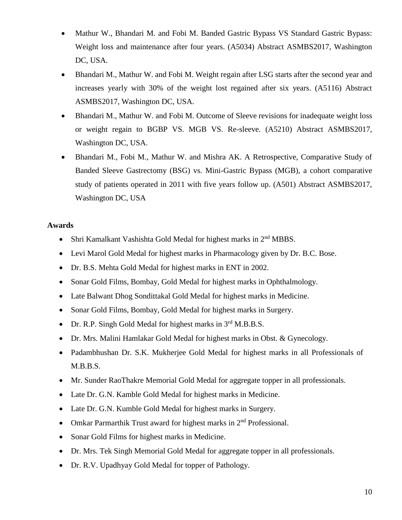- Mathur W., Bhandari M. and Fobi M. Banded Gastric Bypass VS Standard Gastric Bypass: Weight loss and maintenance after four years. (A5034) Abstract ASMBS2017, Washington DC, USA.
- Bhandari M., Mathur W. and Fobi M. Weight regain after LSG starts after the second year and increases yearly with 30% of the weight lost regained after six years. (A5116) Abstract ASMBS2017, Washington DC, USA.
- Bhandari M., Mathur W. and Fobi M. Outcome of Sleeve revisions for inadequate weight loss or weight regain to BGBP VS. MGB VS. Re-sleeve. (A5210) Abstract ASMBS2017, Washington DC, USA.
- Bhandari M., Fobi M., Mathur W. and Mishra AK. A Retrospective, Comparative Study of Banded Sleeve Gastrectomy (BSG) vs. Mini-Gastric Bypass (MGB), a cohort comparative study of patients operated in 2011 with five years follow up. (A501) Abstract ASMBS2017, Washington DC, USA

### **Awards**

- Shri Kamalkant Vashishta Gold Medal for highest marks in 2<sup>nd</sup> MBBS.
- Levi Marol Gold Medal for highest marks in Pharmacology given by Dr. B.C. Bose.
- Dr. B.S. Mehta Gold Medal for highest marks in ENT in 2002.
- Sonar Gold Films, Bombay, Gold Medal for highest marks in Ophthalmology.
- Late Balwant Dhog Sondittakal Gold Medal for highest marks in Medicine.
- Sonar Gold Films, Bombay, Gold Medal for highest marks in Surgery.
- Dr. R.P. Singh Gold Medal for highest marks in  $3<sup>rd</sup>$  M.B.B.S.
- Dr. Mrs. Malini Hamlakar Gold Medal for highest marks in Obst. & Gynecology.
- Padambhushan Dr. S.K. Mukherjee Gold Medal for highest marks in all Professionals of M.B.B.S.
- Mr. Sunder RaoThakre Memorial Gold Medal for aggregate topper in all professionals.
- Late Dr. G.N. Kamble Gold Medal for highest marks in Medicine.
- Late Dr. G.N. Kumble Gold Medal for highest marks in Surgery.
- Omkar Parmarthik Trust award for highest marks in  $2<sup>nd</sup>$  Professional.
- Sonar Gold Films for highest marks in Medicine.
- Dr. Mrs. Tek Singh Memorial Gold Medal for aggregate topper in all professionals.
- Dr. R.V. Upadhyay Gold Medal for topper of Pathology.